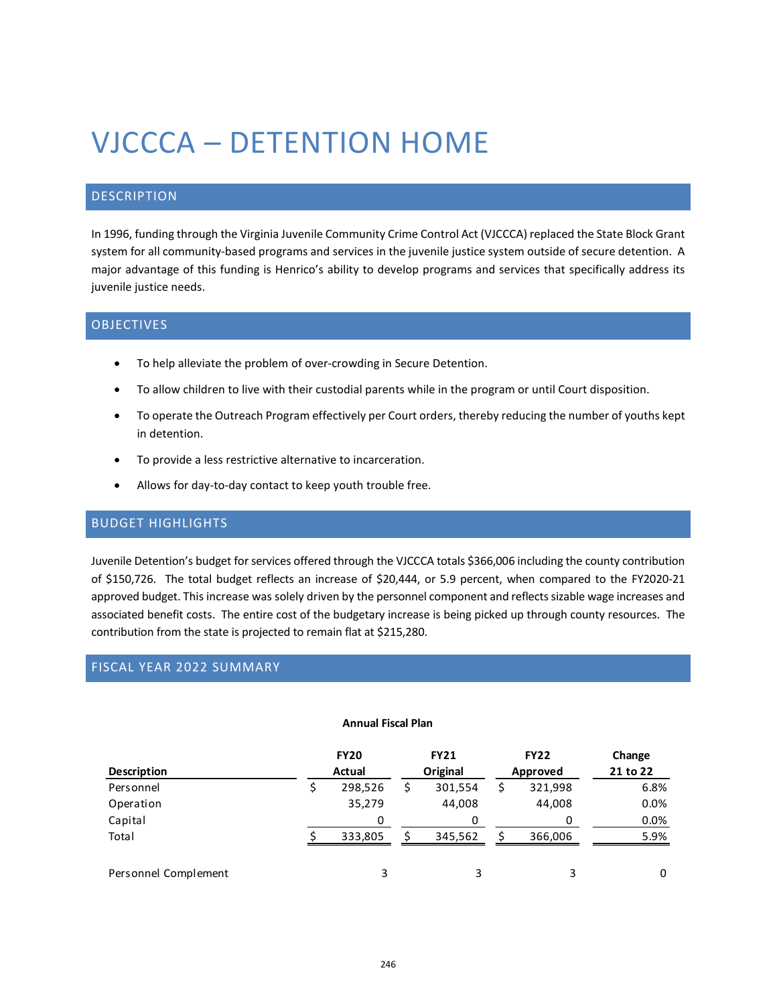# VJCCCA – DETENTION HOME

# DESCRIPTION

In 1996, funding through the Virginia Juvenile Community Crime Control Act (VJCCCA) replaced the State Block Grant system for all community-based programs and services in the juvenile justice system outside of secure detention. A major advantage of this funding is Henrico's ability to develop programs and services that specifically address its juvenile justice needs.

#### OBJECTIVES

- To help alleviate the problem of over-crowding in Secure Detention.
- To allow children to live with their custodial parents while in the program or until Court disposition.
- To operate the Outreach Program effectively per Court orders, thereby reducing the number of youths kept in detention.
- To provide a less restrictive alternative to incarceration.
- Allows for day-to-day contact to keep youth trouble free.

## BUDGET HIGHLIGHTS

Juvenile Detention's budget for services offered through the VJCCCA totals \$366,006 including the county contribution of \$150,726. The total budget reflects an increase of \$20,444, or 5.9 percent, when compared to the FY2020-21 approved budget. This increase was solely driven by the personnel component and reflects sizable wage increases and associated benefit costs. The entire cost of the budgetary increase is being picked up through county resources. The contribution from the state is projected to remain flat at \$215,280.

#### FISCAL YEAR 2022 SUMMARY

#### **Annual Fiscal Plan**

| <b>Description</b>   | <b>FY20</b><br>Actual | <b>FY21</b><br>Original | <b>FY22</b><br>Approved |         | Change<br>21 to 22 |
|----------------------|-----------------------|-------------------------|-------------------------|---------|--------------------|
| Personnel            | 298,526               | 301,554                 | \$                      | 321,998 | 6.8%               |
| Operation            | 35,279                | 44,008                  |                         | 44,008  | 0.0%               |
| Capital              | 0                     |                         |                         |         | $0.0\%$            |
| Total                | 333,805               | 345,562                 |                         | 366,006 | 5.9%               |
| Personnel Complement | 3                     |                         |                         | 3       | 0                  |